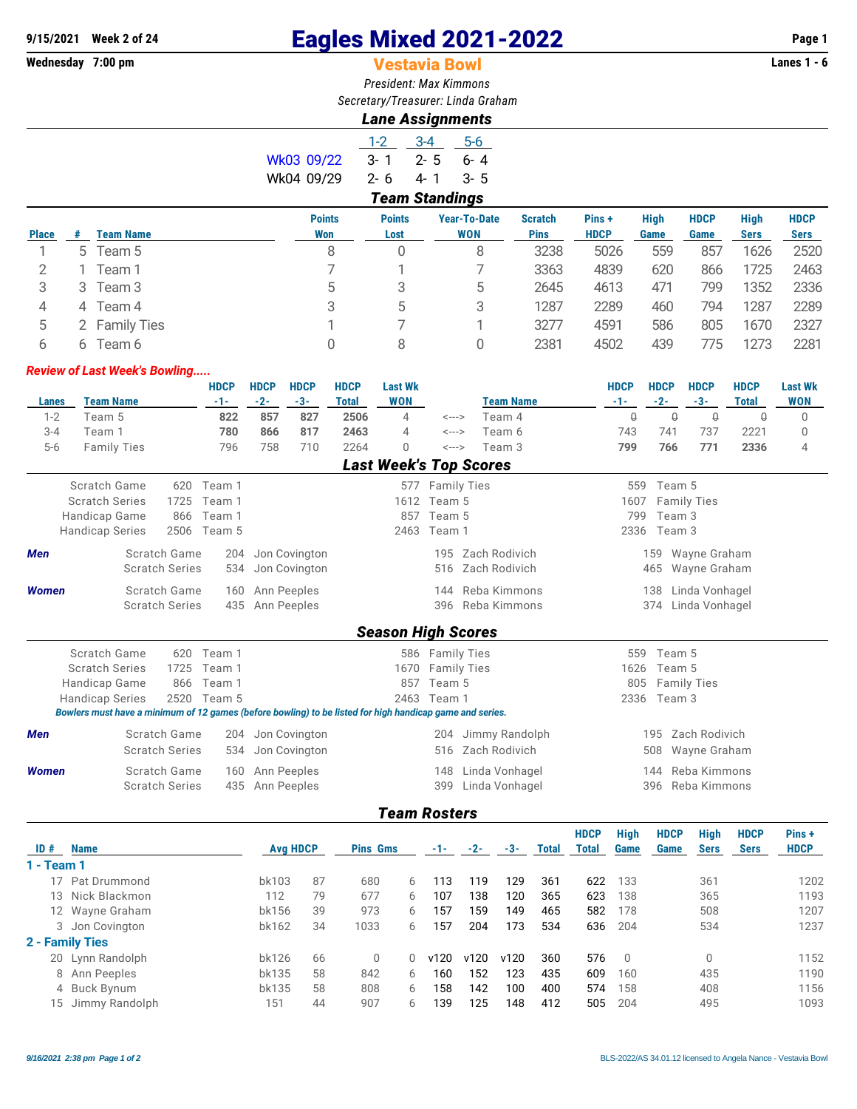# **9/15/2021 Week 2 of 24 Eagles Mixed 2021-2022 Page 1**

# **Vestavia Bowl**

*President: Max Kimmons Secretary/Treasurer: Linda Graham*

## *Lane Assignments*

|            | $1-2$                 | $-3-4$   | 5-6     |  |  |  |  |  |  |  |
|------------|-----------------------|----------|---------|--|--|--|--|--|--|--|
| Wk03 09/22 | $3 - 1$               | $-2 - 5$ | $6 - 4$ |  |  |  |  |  |  |  |
| Wk04 09/29 | 2-6                   | 4-1      | $-3-5$  |  |  |  |  |  |  |  |
|            | <b>Team Standings</b> |          |         |  |  |  |  |  |  |  |

|              | --------- |                    |                      |                       |                                   |                               |                       |                     |                     |                            |                            |  |  |
|--------------|-----------|--------------------|----------------------|-----------------------|-----------------------------------|-------------------------------|-----------------------|---------------------|---------------------|----------------------------|----------------------------|--|--|
| <b>Place</b> | #         | <b>Team Name</b>   | <b>Points</b><br>Won | <b>Points</b><br>Lost | <b>Year-To-Date</b><br><b>WON</b> | <b>Scratch</b><br><b>Pins</b> | Pins +<br><b>HDCP</b> | <b>High</b><br>Game | <b>HDCP</b><br>Game | <b>High</b><br><b>Sers</b> | <b>HDCP</b><br><b>Sers</b> |  |  |
|              |           | 5 Team 5           | 8                    | 0                     | 8                                 | 3238                          | 5026                  | 559                 | 857                 | 1626                       | 2520                       |  |  |
|              |           | Team 1             |                      |                       |                                   | 3363                          | 4839                  | 620                 | 866                 | 1725                       | 2463                       |  |  |
| 3            | 3         | Team 3             | 5                    |                       | 5                                 | 2645                          | 4613                  | 471                 | 799                 | 1352                       | 2336                       |  |  |
| 4            | 4         | Team 4             | 3                    | 5                     | 3                                 | 1287                          | 2289                  | 460                 | 794                 | 1287                       | 2289                       |  |  |
| 5            |           | <b>Family Ties</b> |                      |                       |                                   | 3277                          | 4591                  | 586                 | 805                 | 1670                       | 2327                       |  |  |
|              | h.        | Team 6             |                      | 8                     |                                   | 2381                          | 4502                  | 439                 | 775.                | 1273                       | 2281                       |  |  |

#### *Review of Last Week's Bowling.....*

|                                                                                                                                                                                                                                                                                                                                                                                                                                                                                                                                                                                                                                                                                                                                                                                                                                                                                                                                                                                                                                                                                                                                                                                                                                                                                                                                                                                                                                                                                                                                                                                                                                                                                                                                                                                   |        |  |     | <b>HDCP</b> |     | <b>HDCP</b> | <b>HDCP</b> | <b>Last Wk</b> |     |        |     |             |          | <b>HDCP</b> | <b>Last Wk</b> |
|-----------------------------------------------------------------------------------------------------------------------------------------------------------------------------------------------------------------------------------------------------------------------------------------------------------------------------------------------------------------------------------------------------------------------------------------------------------------------------------------------------------------------------------------------------------------------------------------------------------------------------------------------------------------------------------------------------------------------------------------------------------------------------------------------------------------------------------------------------------------------------------------------------------------------------------------------------------------------------------------------------------------------------------------------------------------------------------------------------------------------------------------------------------------------------------------------------------------------------------------------------------------------------------------------------------------------------------------------------------------------------------------------------------------------------------------------------------------------------------------------------------------------------------------------------------------------------------------------------------------------------------------------------------------------------------------------------------------------------------------------------------------------------------|--------|--|-----|-------------|-----|-------------|-------------|----------------|-----|--------|-----|-------------|----------|-------------|----------------|
|                                                                                                                                                                                                                                                                                                                                                                                                                                                                                                                                                                                                                                                                                                                                                                                                                                                                                                                                                                                                                                                                                                                                                                                                                                                                                                                                                                                                                                                                                                                                                                                                                                                                                                                                                                                   |        |  |     | $-1-$       |     |             |             |                |     |        |     |             |          |             | <b>WON</b>     |
|                                                                                                                                                                                                                                                                                                                                                                                                                                                                                                                                                                                                                                                                                                                                                                                                                                                                                                                                                                                                                                                                                                                                                                                                                                                                                                                                                                                                                                                                                                                                                                                                                                                                                                                                                                                   |        |  |     | 822         | 857 | 827         | 2506        | 4              |     | Team 4 |     | $\mathbb Q$ | $\theta$ | $\Omega$    | $\Omega$       |
|                                                                                                                                                                                                                                                                                                                                                                                                                                                                                                                                                                                                                                                                                                                                                                                                                                                                                                                                                                                                                                                                                                                                                                                                                                                                                                                                                                                                                                                                                                                                                                                                                                                                                                                                                                                   | Team 1 |  |     | 780         | 866 | 817         | 2463        | 4              |     | Team 6 |     |             | 737      | 2221        | 0              |
|                                                                                                                                                                                                                                                                                                                                                                                                                                                                                                                                                                                                                                                                                                                                                                                                                                                                                                                                                                                                                                                                                                                                                                                                                                                                                                                                                                                                                                                                                                                                                                                                                                                                                                                                                                                   |        |  |     | 796         | 758 | 710         | 2264        | $\Omega$       |     | Team 3 |     |             | 771      | 2336        | 4              |
|                                                                                                                                                                                                                                                                                                                                                                                                                                                                                                                                                                                                                                                                                                                                                                                                                                                                                                                                                                                                                                                                                                                                                                                                                                                                                                                                                                                                                                                                                                                                                                                                                                                                                                                                                                                   |        |  |     |             |     |             |             |                |     |        |     |             |          |             |                |
|                                                                                                                                                                                                                                                                                                                                                                                                                                                                                                                                                                                                                                                                                                                                                                                                                                                                                                                                                                                                                                                                                                                                                                                                                                                                                                                                                                                                                                                                                                                                                                                                                                                                                                                                                                                   |        |  | 620 | Team 1      |     |             |             |                |     |        |     |             |          |             |                |
|                                                                                                                                                                                                                                                                                                                                                                                                                                                                                                                                                                                                                                                                                                                                                                                                                                                                                                                                                                                                                                                                                                                                                                                                                                                                                                                                                                                                                                                                                                                                                                                                                                                                                                                                                                                   |        |  |     | Team 1      |     |             |             |                |     |        |     |             |          |             |                |
|                                                                                                                                                                                                                                                                                                                                                                                                                                                                                                                                                                                                                                                                                                                                                                                                                                                                                                                                                                                                                                                                                                                                                                                                                                                                                                                                                                                                                                                                                                                                                                                                                                                                                                                                                                                   |        |  | 866 | Team 1      |     |             |             | 857            |     |        |     |             |          |             |                |
|                                                                                                                                                                                                                                                                                                                                                                                                                                                                                                                                                                                                                                                                                                                                                                                                                                                                                                                                                                                                                                                                                                                                                                                                                                                                                                                                                                                                                                                                                                                                                                                                                                                                                                                                                                                   |        |  |     |             |     |             |             | 2463           |     |        |     |             |          |             |                |
| <b>Men</b>                                                                                                                                                                                                                                                                                                                                                                                                                                                                                                                                                                                                                                                                                                                                                                                                                                                                                                                                                                                                                                                                                                                                                                                                                                                                                                                                                                                                                                                                                                                                                                                                                                                                                                                                                                        |        |  |     | 204         |     |             |             |                | 195 |        | 159 |             |          |             |                |
|                                                                                                                                                                                                                                                                                                                                                                                                                                                                                                                                                                                                                                                                                                                                                                                                                                                                                                                                                                                                                                                                                                                                                                                                                                                                                                                                                                                                                                                                                                                                                                                                                                                                                                                                                                                   |        |  |     | 534         |     |             |             |                | 516 |        | 465 |             |          |             |                |
|                                                                                                                                                                                                                                                                                                                                                                                                                                                                                                                                                                                                                                                                                                                                                                                                                                                                                                                                                                                                                                                                                                                                                                                                                                                                                                                                                                                                                                                                                                                                                                                                                                                                                                                                                                                   |        |  |     | 160         |     |             |             |                | 144 |        | 138 |             |          |             |                |
|                                                                                                                                                                                                                                                                                                                                                                                                                                                                                                                                                                                                                                                                                                                                                                                                                                                                                                                                                                                                                                                                                                                                                                                                                                                                                                                                                                                                                                                                                                                                                                                                                                                                                                                                                                                   |        |  |     | 435         |     |             |             |                | 396 |        | 374 |             |          |             |                |
|                                                                                                                                                                                                                                                                                                                                                                                                                                                                                                                                                                                                                                                                                                                                                                                                                                                                                                                                                                                                                                                                                                                                                                                                                                                                                                                                                                                                                                                                                                                                                                                                                                                                                                                                                                                   |        |  |     |             |     |             |             |                |     |        |     |             |          |             |                |
|                                                                                                                                                                                                                                                                                                                                                                                                                                                                                                                                                                                                                                                                                                                                                                                                                                                                                                                                                                                                                                                                                                                                                                                                                                                                                                                                                                                                                                                                                                                                                                                                                                                                                                                                                                                   |        |  | 620 | Team 1      |     |             |             |                |     |        |     |             |          |             |                |
|                                                                                                                                                                                                                                                                                                                                                                                                                                                                                                                                                                                                                                                                                                                                                                                                                                                                                                                                                                                                                                                                                                                                                                                                                                                                                                                                                                                                                                                                                                                                                                                                                                                                                                                                                                                   |        |  |     | Team 1      |     |             |             | 1670           |     |        |     |             |          |             |                |
|                                                                                                                                                                                                                                                                                                                                                                                                                                                                                                                                                                                                                                                                                                                                                                                                                                                                                                                                                                                                                                                                                                                                                                                                                                                                                                                                                                                                                                                                                                                                                                                                                                                                                                                                                                                   |        |  | 866 | Team 1      |     |             |             | 857            |     |        |     |             |          |             |                |
|                                                                                                                                                                                                                                                                                                                                                                                                                                                                                                                                                                                                                                                                                                                                                                                                                                                                                                                                                                                                                                                                                                                                                                                                                                                                                                                                                                                                                                                                                                                                                                                                                                                                                                                                                                                   |        |  |     |             |     |             |             |                |     |        |     |             |          |             |                |
| <b>HDCP</b><br><b>HDCP</b><br><b>HDCP</b><br><b>HDCP</b><br>$-2-$<br><b>Team Name</b><br>$-3-$<br><b>WON</b><br><b>Team Name</b><br>$-2-$<br>$-3-$<br><b>Total</b><br>$-1-$<br><b>Total</b><br>Lanes<br>$1 - 2$<br>Team 5<br>$\Omega$<br>$\leftarrow$ $\rightarrow$<br>$3 - 4$<br>741<br>743<br><---><br>766<br>$5-6$<br><b>Family Ties</b><br>799<br><---><br><b>Last Week's Top Scores</b><br>Scratch Game<br>Team 5<br>577 Family Ties<br>559<br><b>Scratch Series</b><br>1725<br>1612<br>Team 5<br><b>Family Ties</b><br>1607<br>Handicap Game<br>Team 5<br>799<br>Team 3<br><b>Handicap Series</b><br>2506<br>Team 1<br>2336<br>Team 3<br>Team 5<br>Scratch Game<br>Zach Rodivich<br>Jon Covington<br>Wayne Graham<br>Zach Rodivich<br><b>Scratch Series</b><br>Jon Covington<br>Wayne Graham<br>Scratch Game<br>Ann Peeples<br>Reba Kimmons<br>Linda Vonhagel<br><b>Women</b><br><b>Scratch Series</b><br>Ann Peeples<br>Reba Kimmons<br>Linda Vonhagel<br><b>Season High Scores</b><br>Scratch Game<br>Team 5<br>586 Family Ties<br>559<br><b>Scratch Series</b><br>1725<br><b>Family Ties</b><br>1626<br>Team 5<br>Handicap Game<br>Team 5<br>805<br><b>Family Ties</b><br><b>Handicap Series</b><br>2520 Team 5<br>2463 Team 1<br>2336<br>Team 3<br>Bowlers must have a minimum of 12 games (before bowling) to be listed for high handicap game and series.<br>Scratch Game<br>Jimmy Randolph<br>Zach Rodivich<br><b>Men</b><br>Jon Covington<br>204<br>195<br>204<br><b>Scratch Series</b><br>Zach Rodivich<br>Jon Covington<br>Wayne Graham<br>534<br>516<br>508<br>Reba Kimmons<br>Scratch Game<br><b>Women</b><br>Ann Peeples<br>Linda Vonhagel<br>160<br>148<br>144<br><b>Scratch Series</b><br>Ann Peeples<br>Linda Vonhagel<br>Reba Kimmons<br>435<br>399<br>396 |        |  |     |             |     |             |             |                |     |        |     |             |          |             |                |
|                                                                                                                                                                                                                                                                                                                                                                                                                                                                                                                                                                                                                                                                                                                                                                                                                                                                                                                                                                                                                                                                                                                                                                                                                                                                                                                                                                                                                                                                                                                                                                                                                                                                                                                                                                                   |        |  |     |             |     |             |             |                |     |        |     |             |          |             |                |
|                                                                                                                                                                                                                                                                                                                                                                                                                                                                                                                                                                                                                                                                                                                                                                                                                                                                                                                                                                                                                                                                                                                                                                                                                                                                                                                                                                                                                                                                                                                                                                                                                                                                                                                                                                                   |        |  |     |             |     |             |             |                |     |        |     |             |          |             |                |
|                                                                                                                                                                                                                                                                                                                                                                                                                                                                                                                                                                                                                                                                                                                                                                                                                                                                                                                                                                                                                                                                                                                                                                                                                                                                                                                                                                                                                                                                                                                                                                                                                                                                                                                                                                                   |        |  |     |             |     |             |             |                |     |        |     |             |          |             |                |
|                                                                                                                                                                                                                                                                                                                                                                                                                                                                                                                                                                                                                                                                                                                                                                                                                                                                                                                                                                                                                                                                                                                                                                                                                                                                                                                                                                                                                                                                                                                                                                                                                                                                                                                                                                                   |        |  |     |             |     |             |             |                |     |        |     |             |          |             |                |

## *Team Rosters*

| ID#        | <b>Name</b>       | <b>Avg HDCP</b> |    |          | <b>Pins Gms</b> |       | $-2-$ | -3-  | <b>Total</b> | <b>HDCP</b><br>Total | High<br>Game   | <b>HDCP</b><br>Game | <b>High</b><br><b>Sers</b> | <b>HDCP</b><br><b>Sers</b> | Pins +<br><b>HDCP</b> |
|------------|-------------------|-----------------|----|----------|-----------------|-------|-------|------|--------------|----------------------|----------------|---------------------|----------------------------|----------------------------|-----------------------|
| 1 - Team 1 |                   |                 |    |          |                 | $-1-$ |       |      |              |                      |                |                     |                            |                            |                       |
|            | 17 Pat Drummond   | bk103           | 87 | 680      | 6               | 13    | 119   | 129  | 361          | 622                  | 133            |                     | 361                        |                            | 1202                  |
|            | 13 Nick Blackmon  | 112             | 79 | 677      | 6               | 107   | 138   | 120  | 365          | 623                  | 138            |                     | 365                        |                            | 1193                  |
|            | 12 Wayne Graham   | bk156           | 39 | 973      | 6               | 157   | 159   | 149  | 465          | 582                  | 178            |                     | 508                        |                            | 1207                  |
|            | 3 Jon Covington   | bk162           | 34 | 1033     | 6               | 157   | 204   | 173  | 534          | 636                  | 204            |                     | 534                        |                            | 1237                  |
|            | 2 - Family Ties   |                 |    |          |                 |       |       |      |              |                      |                |                     |                            |                            |                       |
|            | 20 Lynn Randolph  | bk126           | 66 | $\Omega$ | 0               | v120  | v120  | v120 | 360          | 576                  | $\overline{0}$ |                     | $\Omega$                   |                            | 1152                  |
|            | 8 Ann Peeples     | bk135           | 58 | 842      | 6               | 160   | 152   | 123  | 435          | 609                  | 160            |                     | 435                        |                            | 1190                  |
|            | 4 Buck Bynum      | bk135           | 58 | 808      | 6               | 158   | 142   | 100  | 400          | 574                  | 158            |                     | 408                        |                            | 1156                  |
|            | 15 Jimmy Randolph | 151             | 44 | 907      | 6               | 139   | 125   | 148  | 412          | 505                  | 204            |                     | 495                        |                            | 1093                  |
|            |                   |                 |    |          |                 |       |       |      |              |                      |                |                     |                            |                            |                       |